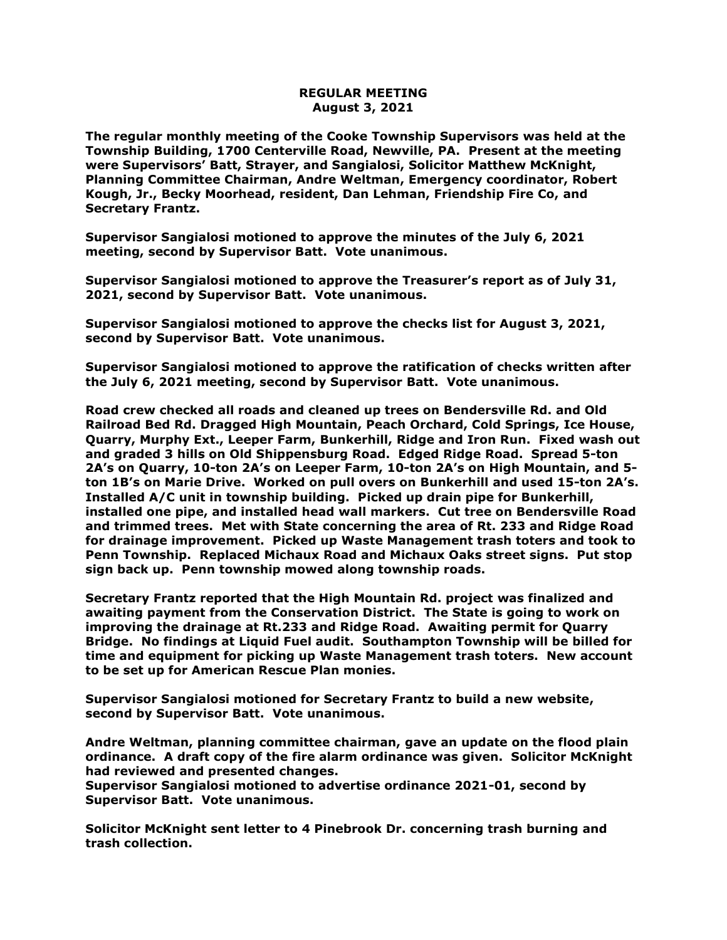## **REGULAR MEETING August 3, 2021**

**The regular monthly meeting of the Cooke Township Supervisors was held at the Township Building, 1700 Centerville Road, Newville, PA. Present at the meeting were Supervisors' Batt, Strayer, and Sangialosi, Solicitor Matthew McKnight, Planning Committee Chairman, Andre Weltman, Emergency coordinator, Robert Kough, Jr., Becky Moorhead, resident, Dan Lehman, Friendship Fire Co, and Secretary Frantz.** 

**Supervisor Sangialosi motioned to approve the minutes of the July 6, 2021 meeting, second by Supervisor Batt. Vote unanimous.** 

**Supervisor Sangialosi motioned to approve the Treasurer's report as of July 31, 2021, second by Supervisor Batt. Vote unanimous.**

**Supervisor Sangialosi motioned to approve the checks list for August 3, 2021, second by Supervisor Batt. Vote unanimous.**

**Supervisor Sangialosi motioned to approve the ratification of checks written after the July 6, 2021 meeting, second by Supervisor Batt. Vote unanimous.**

**Road crew checked all roads and cleaned up trees on Bendersville Rd. and Old Railroad Bed Rd. Dragged High Mountain, Peach Orchard, Cold Springs, Ice House, Quarry, Murphy Ext., Leeper Farm, Bunkerhill, Ridge and Iron Run. Fixed wash out and graded 3 hills on Old Shippensburg Road. Edged Ridge Road. Spread 5-ton 2A's on Quarry, 10-ton 2A's on Leeper Farm, 10-ton 2A's on High Mountain, and 5 ton 1B's on Marie Drive. Worked on pull overs on Bunkerhill and used 15-ton 2A's. Installed A/C unit in township building. Picked up drain pipe for Bunkerhill, installed one pipe, and installed head wall markers. Cut tree on Bendersville Road and trimmed trees. Met with State concerning the area of Rt. 233 and Ridge Road for drainage improvement. Picked up Waste Management trash toters and took to Penn Township. Replaced Michaux Road and Michaux Oaks street signs. Put stop sign back up. Penn township mowed along township roads.**

**Secretary Frantz reported that the High Mountain Rd. project was finalized and awaiting payment from the Conservation District. The State is going to work on improving the drainage at Rt.233 and Ridge Road. Awaiting permit for Quarry Bridge. No findings at Liquid Fuel audit. Southampton Township will be billed for time and equipment for picking up Waste Management trash toters. New account to be set up for American Rescue Plan monies.** 

**Supervisor Sangialosi motioned for Secretary Frantz to build a new website, second by Supervisor Batt. Vote unanimous.**

**Andre Weltman, planning committee chairman, gave an update on the flood plain ordinance. A draft copy of the fire alarm ordinance was given. Solicitor McKnight had reviewed and presented changes.** 

**Supervisor Sangialosi motioned to advertise ordinance 2021-01, second by Supervisor Batt. Vote unanimous.**

**Solicitor McKnight sent letter to 4 Pinebrook Dr. concerning trash burning and trash collection.**